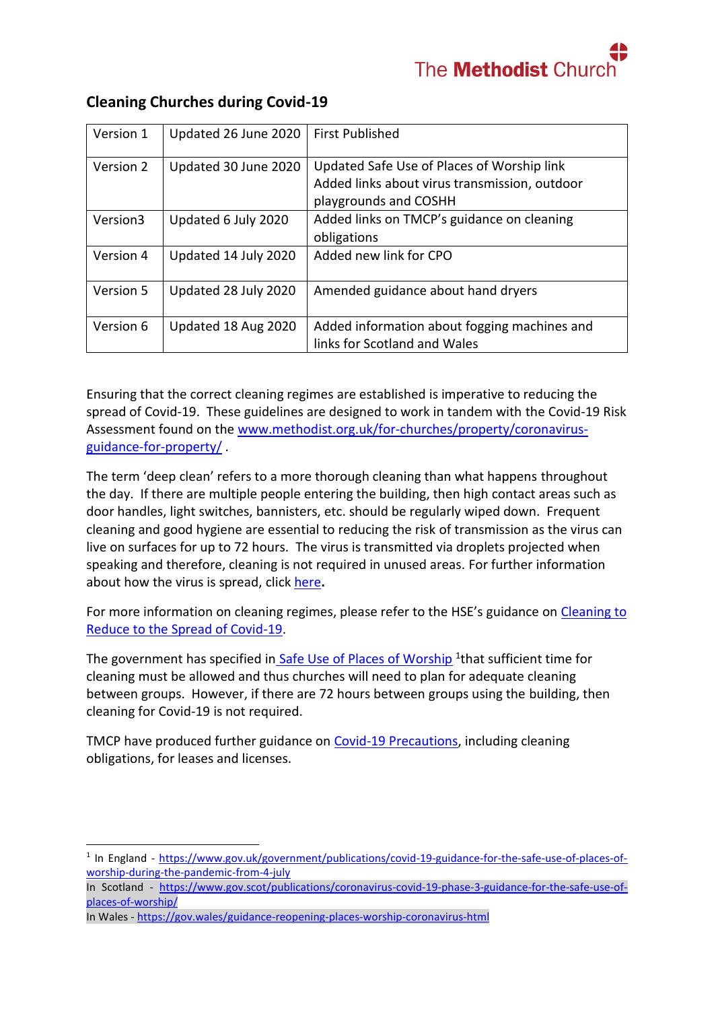

| Version 1 | Updated 26 June 2020 | <b>First Published</b>                                                                                               |
|-----------|----------------------|----------------------------------------------------------------------------------------------------------------------|
| Version 2 | Updated 30 June 2020 | Updated Safe Use of Places of Worship link<br>Added links about virus transmission, outdoor<br>playgrounds and COSHH |
| Version3  | Updated 6 July 2020  | Added links on TMCP's guidance on cleaning<br>obligations                                                            |
| Version 4 | Updated 14 July 2020 | Added new link for CPO                                                                                               |
| Version 5 | Updated 28 July 2020 | Amended guidance about hand dryers                                                                                   |
| Version 6 | Updated 18 Aug 2020  | Added information about fogging machines and<br>links for Scotland and Wales                                         |

# **Cleaning Churches during Covid-19**

Ensuring that the correct cleaning regimes are established is imperative to reducing the spread of Covid-19. These guidelines are designed to work in tandem with the Covid-19 Risk Assessment found on the [www.methodist.org.uk/for-churches/property/coronavirus](https://www.methodist.org.uk/for-churches/property/coronavirus-guidance-for-property/)[guidance-for-property/](https://www.methodist.org.uk/for-churches/property/coronavirus-guidance-for-property/) .

The term 'deep clean' refers to a more thorough cleaning than what happens throughout the day. If there are multiple people entering the building, then high contact areas such as door handles, light switches, bannisters, etc. should be regularly wiped down. Frequent cleaning and good hygiene are essential to reducing the risk of transmission as the virus can live on surfaces for up to 72 hours. The virus is transmitted via droplets projected when speaking and therefore, cleaning is not required in unused areas. For further information about how the virus is spread, click [here](https://www.gov.uk/government/publications/wuhan-novel-coronavirus-infection-prevention-and-control/transmission-characteristics-and-principles-of-infection-prevention-and-control)**.** 

For more information on cleaning regimes, please refer to the HSE's guidance on [Cleaning to](https://www.hse.gov.uk/coronavirus/cleaning/index.htm)  [Reduce to the Spread of Covid-19.](https://www.hse.gov.uk/coronavirus/cleaning/index.htm)

The government has specified in [Safe Use of Places of Worship](https://www.gov.uk/government/publications/covid-19-guidance-for-the-safe-use-of-places-of-worship-from-4-july/covid-19-guidance-for-the-safe-use-of-places-of-worship-from-4-july#general-actions-to-reduce-the-spread-of-infection) <sup>1</sup>that sufficient time for cleaning must be allowed and thus churches will need to plan for adequate cleaning between groups. However, if there are 72 hours between groups using the building, then cleaning for Covid-19 is not required.

TMCP have produced further guidance on [Covid-19 Precautions,](https://www.tmcp.org.uk/news-hub/licences-during-the-covid-19-outbreak-who-is-responsible-for-covid-19-precautions-and-how-do-we-clarify-this) including cleaning obligations, for leases and licenses.

1

<sup>&</sup>lt;sup>1</sup> In England - [https://www.gov.uk/government/publications/covid-19-guidance-for-the-safe-use-of-places-of](https://www.gov.uk/government/publications/covid-19-guidance-for-the-safe-use-of-places-of-worship-during-the-pandemic-from-4-july)[worship-during-the-pandemic-from-4-july](https://www.gov.uk/government/publications/covid-19-guidance-for-the-safe-use-of-places-of-worship-during-the-pandemic-from-4-july)

In Scotland - [https://www.gov.scot/publications/coronavirus-covid-19-phase-3-guidance-for-the-safe-use-of](https://www.gov.scot/publications/coronavirus-covid-19-phase-3-guidance-for-the-safe-use-of-places-of-worship/)[places-of-worship/](https://www.gov.scot/publications/coronavirus-covid-19-phase-3-guidance-for-the-safe-use-of-places-of-worship/)

In Wales - <https://gov.wales/guidance-reopening-places-worship-coronavirus-html>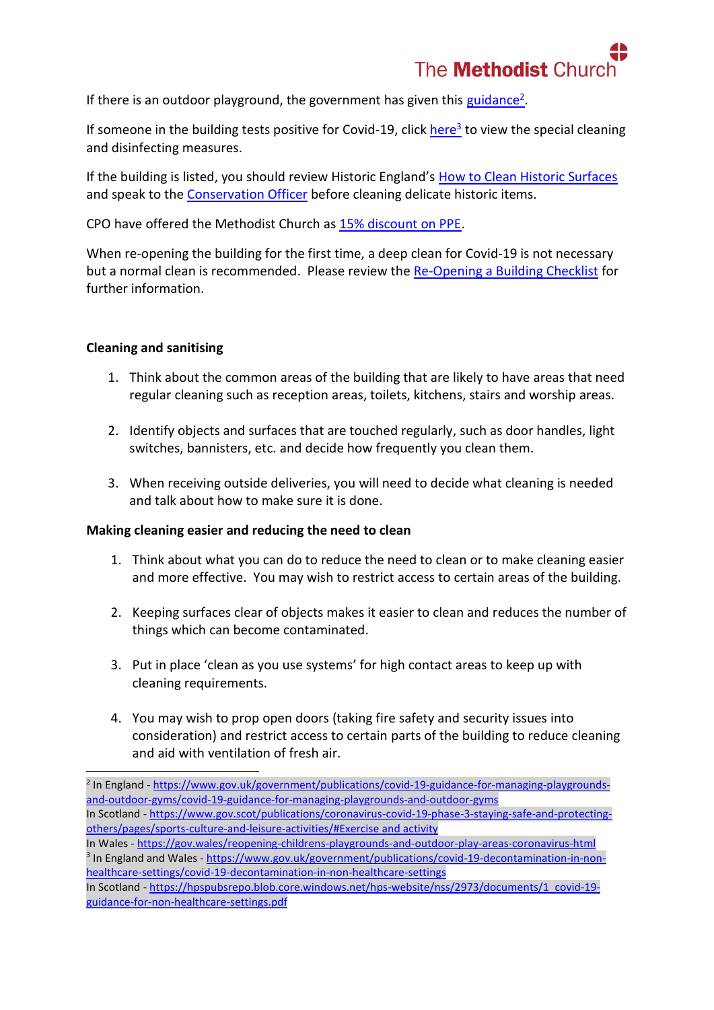

If there is an outdoor playground, the government has given this [guidance](https://www.gov.uk/government/publications/covid-19-guidance-for-managing-playgrounds-and-outdoor-gyms/covid-19-guidance-for-managing-playgrounds-and-outdoor-gyms)<sup>2</sup>.

If someone in the building tests positive for Covid-19, click [here](https://www.gov.uk/government/publications/covid-19-decontamination-in-non-healthcare-settings/covid-19-decontamination-in-non-healthcare-settings)<sup>3</sup> to view the special cleaning and disinfecting measures.

If the building is listed, you should review Historic England's [How to Clean Historic Surfaces](https://historicengland.org.uk/coronavirus/historic-places/cleaning-historic-surfaces/?utm_medium=email&utm_source=newsletter&utm_campaign=brand&utm_content=Cleaning%20Historic&dm_t=0,0,0,0,0) and speak to the [Conservation Officer](mailto:conservation@methodistchurch.org.uk?subject=Cleaning%20during%20Covid-19) before cleaning delicate historic items.

CPO have offered the Methodist Church as [15% discount on PPE.](http://www.cpo.org.uk/methodistppe)

When re-opening the building for the first time, a deep clean for Covid-19 is not necessary but a normal clean is recommended. Please review the [Re-Opening a Building Checklist](https://www.methodist.org.uk/for-churches/property/coronavirus-guidance-for-property/) for further information.

### **Cleaning and sanitising**

**.** 

- 1. Think about the common areas of the building that are likely to have areas that need regular cleaning such as reception areas, toilets, kitchens, stairs and worship areas.
- 2. Identify objects and surfaces that are touched regularly, such as door handles, light switches, bannisters, etc. and decide how frequently you clean them.
- 3. When receiving outside deliveries, you will need to decide what cleaning is needed and talk about how to make sure it is done.

### **Making cleaning easier and reducing the need to clean**

- 1. Think about what you can do to reduce the need to clean or to make cleaning easier and more effective. You may wish to restrict access to certain areas of the building.
- 2. Keeping surfaces clear of objects makes it easier to clean and reduces the number of things which can become contaminated.
- 3. Put in place 'clean as you use systems' for high contact areas to keep up with cleaning requirements.
- 4. You may wish to prop open doors (taking fire safety and security issues into consideration) and restrict access to certain parts of the building to reduce cleaning and aid with ventilation of fresh air.

<sup>&</sup>lt;sup>2</sup> In England - [https://www.gov.uk/government/publications/covid-19-guidance-for-managing-playgrounds](https://www.gov.uk/government/publications/covid-19-guidance-for-managing-playgrounds-and-outdoor-gyms/covid-19-guidance-for-managing-playgrounds-and-outdoor-gyms)[and-outdoor-gyms/covid-19-guidance-for-managing-playgrounds-and-outdoor-gyms](https://www.gov.uk/government/publications/covid-19-guidance-for-managing-playgrounds-and-outdoor-gyms/covid-19-guidance-for-managing-playgrounds-and-outdoor-gyms) In Scotland - [https://www.gov.scot/publications/coronavirus-covid-19-phase-3-staying-safe-and-protecting](https://www.gov.scot/publications/coronavirus-covid-19-phase-3-staying-safe-and-protecting-others/pages/sports-culture-and-leisure-activities/%23Exercise%20and%20activity)[others/pages/sports-culture-and-leisure-activities/#Exercise and activity](https://www.gov.scot/publications/coronavirus-covid-19-phase-3-staying-safe-and-protecting-others/pages/sports-culture-and-leisure-activities/%23Exercise%20and%20activity)

In Wales - <https://gov.wales/reopening-childrens-playgrounds-and-outdoor-play-areas-coronavirus-html> <sup>3</sup> In England and Wales - [https://www.gov.uk/government/publications/covid-19-decontamination-in-non](https://www.gov.uk/government/publications/covid-19-decontamination-in-non-healthcare-settings/covid-19-decontamination-in-non-healthcare-settings)[healthcare-settings/covid-19-decontamination-in-non-healthcare-settings](https://www.gov.uk/government/publications/covid-19-decontamination-in-non-healthcare-settings/covid-19-decontamination-in-non-healthcare-settings) 

In Scotland - [https://hpspubsrepo.blob.core.windows.net/hps-website/nss/2973/documents/1\\_covid-19](https://hpspubsrepo.blob.core.windows.net/hps-website/nss/2973/documents/1_covid-19-guidance-for-non-healthcare-settings.pdf) [guidance-for-non-healthcare-settings.pdf](https://hpspubsrepo.blob.core.windows.net/hps-website/nss/2973/documents/1_covid-19-guidance-for-non-healthcare-settings.pdf)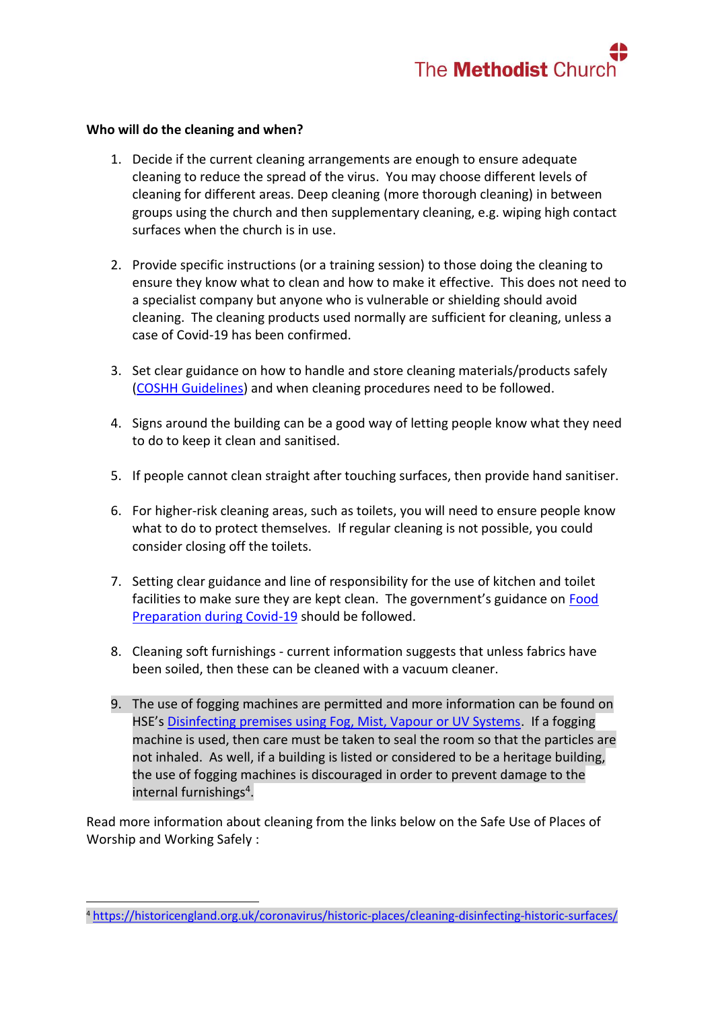

#### **Who will do the cleaning and when?**

1

- 1. Decide if the current cleaning arrangements are enough to ensure adequate cleaning to reduce the spread of the virus. You may choose different levels of cleaning for different areas. Deep cleaning (more thorough cleaning) in between groups using the church and then supplementary cleaning, e.g. wiping high contact surfaces when the church is in use.
- 2. Provide specific instructions (or a training session) to those doing the cleaning to ensure they know what to clean and how to make it effective. This does not need to a specialist company but anyone who is vulnerable or shielding should avoid cleaning. The cleaning products used normally are sufficient for cleaning, unless a case of Covid-19 has been confirmed.
- 3. Set clear guidance on how to handle and store cleaning materials/products safely [\(COSHH Guidelines\)](https://www.hse.gov.uk/coshh/) and when cleaning procedures need to be followed.
- 4. Signs around the building can be a good way of letting people know what they need to do to keep it clean and sanitised.
- 5. If people cannot clean straight after touching surfaces, then provide hand sanitiser.
- 6. For higher-risk cleaning areas, such as toilets, you will need to ensure people know what to do to protect themselves. If regular cleaning is not possible, you could consider closing off the toilets.
- 7. Setting clear guidance and line of responsibility for the use of kitchen and toilet facilities to make sure they are kept clean. The government's guidance on [Food](https://www.gov.uk/government/publications/covid-19-guidance-for-food-businesses/guidance-for-food-businesses-on-coronavirus-covid-19)  [Preparation during Covid-19](https://www.gov.uk/government/publications/covid-19-guidance-for-food-businesses/guidance-for-food-businesses-on-coronavirus-covid-19) should be followed.
- 8. Cleaning soft furnishings current information suggests that unless fabrics have been soiled, then these can be cleaned with a vacuum cleaner.
- 9. The use of fogging machines are permitted and more information can be found on HSE's [Disinfecting premises using Fog, Mist, Vapour or UV Systems.](https://www.hse.gov.uk/coronavirus/disinfecting-premises-during-coronavirus-outbreak.htm) If a fogging machine is used, then care must be taken to seal the room so that the particles are not inhaled. As well, if a building is listed or considered to be a heritage building, the use of fogging machines is discouraged in order to prevent damage to the internal furnishings<sup>4</sup>.

Read more information about cleaning from the links below on the Safe Use of Places of Worship and Working Safely :

<sup>4</sup> <https://historicengland.org.uk/coronavirus/historic-places/cleaning-disinfecting-historic-surfaces/>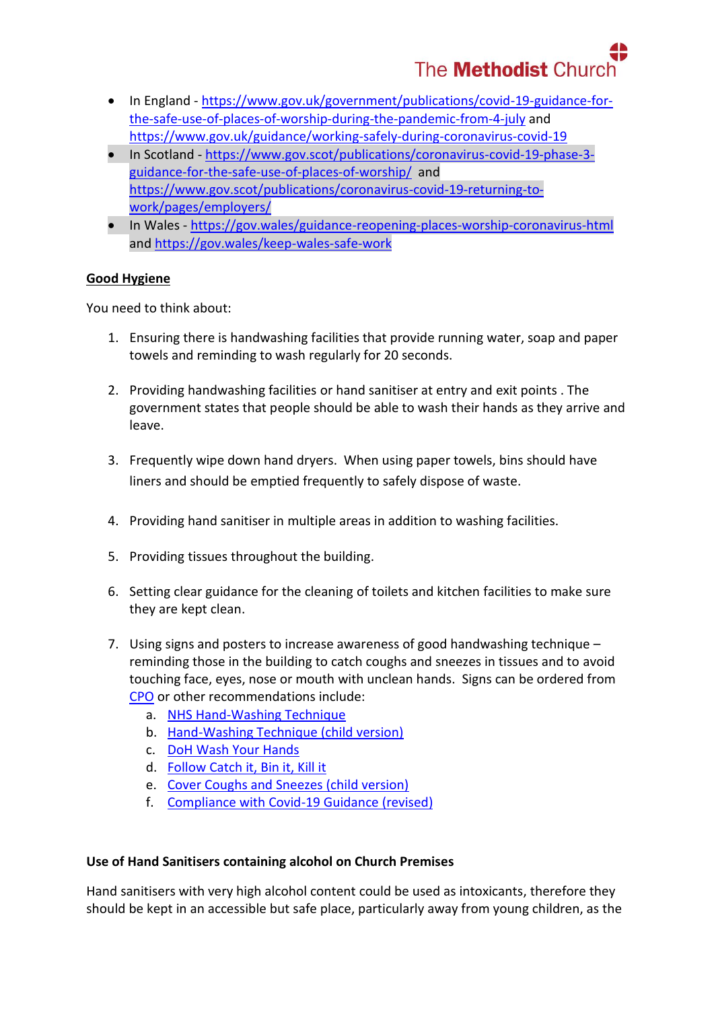# The **Methodist** Churc

- In England [https://www.gov.uk/government/publications/covid-19-guidance-for](https://www.gov.uk/government/publications/covid-19-guidance-for-the-safe-use-of-places-of-worship-during-the-pandemic-from-4-july)[the-safe-use-of-places-of-worship-during-the-pandemic-from-4-july](https://www.gov.uk/government/publications/covid-19-guidance-for-the-safe-use-of-places-of-worship-during-the-pandemic-from-4-july) and <https://www.gov.uk/guidance/working-safely-during-coronavirus-covid-19>
- In Scotland [https://www.gov.scot/publications/coronavirus-covid-19-phase-3](https://www.gov.scot/publications/coronavirus-covid-19-phase-3-guidance-for-the-safe-use-of-places-of-worship/) [guidance-for-the-safe-use-of-places-of-worship/](https://www.gov.scot/publications/coronavirus-covid-19-phase-3-guidance-for-the-safe-use-of-places-of-worship/) and [https://www.gov.scot/publications/coronavirus-covid-19-returning-to](https://www.gov.scot/publications/coronavirus-covid-19-returning-to-work/pages/employers/)[work/pages/employers/](https://www.gov.scot/publications/coronavirus-covid-19-returning-to-work/pages/employers/)
- In Wales <https://gov.wales/guidance-reopening-places-worship-coronavirus-html> and<https://gov.wales/keep-wales-safe-work>

## **Good Hygiene**

You need to think about:

- 1. Ensuring there is handwashing facilities that provide running water, soap and paper towels and reminding to wash regularly for 20 seconds.
- 2. Providing handwashing facilities or hand sanitiser at entry and exit points . The government states that people should be able to wash their hands as they arrive and leave.
- 3. Frequently wipe down hand dryers. When using paper towels, bins should have liners and should be emptied frequently to safely dispose of waste.
- 4. Providing hand sanitiser in multiple areas in addition to washing facilities.
- 5. Providing tissues throughout the building.
- 6. Setting clear guidance for the cleaning of toilets and kitchen facilities to make sure they are kept clean.
- 7. Using signs and posters to increase awareness of good handwashing technique reminding those in the building to catch coughs and sneezes in tissues and to avoid touching face, eyes, nose or mouth with unclean hands. Signs can be ordered from [CPO](http://www.cpo.org.uk/methodistppe) or other recommendations include:
	- a. [NHS Hand-Washing Technique](https://www.berkshirehealthcare.nhs.uk/media/33429304/nhs-hand-wasing-technique.pdf)
	- b. [Hand-Washing Technique \(child version\)](https://www.methodist.org.uk/media/17916/hand-hygiene-poster-2020.pdf)
	- c. [DoH Wash Your Hands](https://www.methodist.org.uk/media/17914/doh-handwash-poster-19-03-2020-3.pdf)
	- d. [Follow Catch it, Bin it, Kill it](https://www.england.nhs.uk/south/wp-content/uploads/sites/6/2017/09/catch-bin-kill.pdf)
	- e. [Cover Coughs and Sneezes \(child version\)](https://www.methodist.org.uk/media/17915/respiratory-hygiene-poster-2020.pdf)
	- f. [Compliance with Covid-19 Guidance \(revised\)](https://assets.publishing.service.gov.uk/government/uploads/system/uploads/attachment_data/file/897765/staying-covid-19-secure-2020.pdf)

## **Use of Hand Sanitisers containing alcohol on Church Premises**

Hand sanitisers with very high alcohol content could be used as intoxicants, therefore they should be kept in an accessible but safe place, particularly away from young children, as the